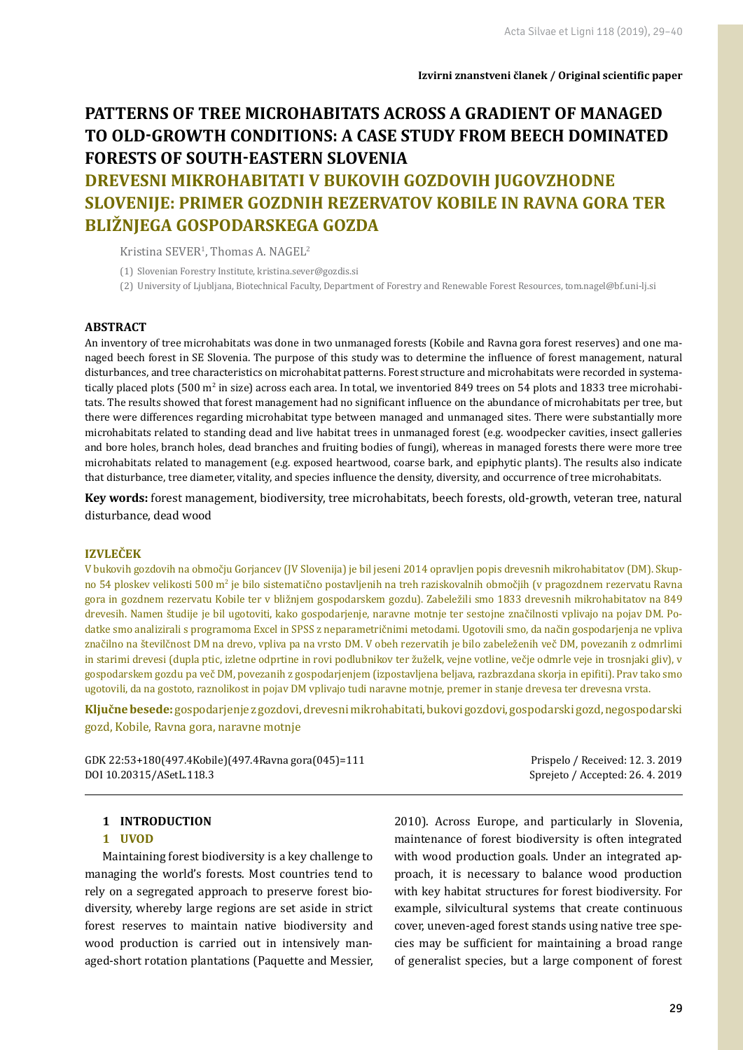# **PATTERNS OF TREE MICROHABITATS ACROSS A GRADIENT OF MANAGED TO OLD-GROWTH CONDITIONS: A CASE STUDY FROM BEECH DOMINATED FORESTS OF SOUTH-EASTERN SLOVENIA**

## **DREVESNI MIKROHABITATI V BUKOVIH GOZDOVIH JUGOVZHODNE SLOVENIJE: PRIMER GOZDNIH REZERVATOV KOBILE IN RAVNA GORA TER BLIŽNJEGA GOSPODARSKEGA GOZDA**

Kristina  $SEVER<sup>1</sup>$ , Thomas A. NAGEL<sup>2</sup>

- (1) Slovenian Forestry Institute, kristina.sever@gozdis.si
- (2) University of Ljubljana, Biotechnical Faculty, Department of Forestry and Renewable Forest Resources, tom.nagel@bf.uni-lj.si

#### **ABSTRACT**

An inventory of tree microhabitats was done in two unmanaged forests (Kobile and Ravna gora forest reserves) and one managed beech forest in SE Slovenia. The purpose of this study was to determine the influence of forest management, natural disturbances, and tree characteristics on microhabitat patterns. Forest structure and microhabitats were recorded in systematically placed plots (500 m<sup>2</sup> in size) across each area. In total, we inventoried 849 trees on 54 plots and 1833 tree microhabitats. The results showed that forest management had no significant influence on the abundance of microhabitats per tree, but there were differences regarding microhabitat type between managed and unmanaged sites. There were substantially more microhabitats related to standing dead and live habitat trees in unmanaged forest (e.g. woodpecker cavities, insect galleries and bore holes, branch holes, dead branches and fruiting bodies of fungi), whereas in managed forests there were more tree microhabitats related to management (e.g. exposed heartwood, coarse bark, and epiphytic plants). The results also indicate that disturbance, tree diameter, vitality, and species influence the density, diversity, and occurrence of tree microhabitats.

**Key words:** forest management, biodiversity, tree microhabitats, beech forests, old-growth, veteran tree, natural disturbance, dead wood

## **IZVLEČEK**

V bukovih gozdovih na območju Gorjancev (JV Slovenija) je bil jeseni 2014 opravljen popis drevesnih mikrohabitatov (DM). Skupno 54 ploskev velikosti 500 m<sup>2</sup> je bilo sistematično postavljenih na treh raziskovalnih območjih (v pragozdnem rezervatu Ravna gora in gozdnem rezervatu Kobile ter v bližnjem gospodarskem gozdu). Zabeležili smo 1833 drevesnih mikrohabitatov na 849 drevesih. Namen študije je bil ugotoviti, kako gospodarjenje, naravne motnje ter sestojne značilnosti vplivajo na pojav DM. Podatke smo analizirali s programoma Excel in SPSS z neparametričnimi metodami. Ugotovili smo, da način gospodarjenja ne vpliva značilno na številčnost DM na drevo, vpliva pa na vrsto DM. V obeh rezervatih je bilo zabeleženih več DM, povezanih z odmrlimi in starimi drevesi (dupla ptic, izletne odprtine in rovi podlubnikov ter žuželk, vejne votline, večje odmrle veje in trosnjaki gliv), v gospodarskem gozdu pa več DM, povezanih z gospodarjenjem (izpostavljena beljava, razbrazdana skorja in epifiti). Prav tako smo ugotovili, da na gostoto, raznolikost in pojav DM vplivajo tudi naravne motnje, premer in stanje drevesa ter drevesna vrsta.

**Ključne besede:** gospodarjenje z gozdovi, drevesni mikrohabitati, bukovi gozdovi, gospodarski gozd, negospodarski gozd, Kobile, Ravna gora, naravne motnje

| GDK 22:53+180(497.4Kobile)(497.4Ravna gora(045)=111 | Prispelo / Received: 12. 3. 2019 |
|-----------------------------------------------------|----------------------------------|
| DOI 10.20315/ASetL.118.3                            | Sprejeto / Accepted: 26.4.2019   |

#### **1 INTRODUCTION**

#### **1 UVOD**

Maintaining forest biodiversity is a key challenge to managing the world's forests. Most countries tend to rely on a segregated approach to preserve forest biodiversity, whereby large regions are set aside in strict forest reserves to maintain native biodiversity and wood production is carried out in intensively managed-short rotation plantations (Paquette and Messier, 2010). Across Europe, and particularly in Slovenia, maintenance of forest biodiversity is often integrated with wood production goals. Under an integrated approach, it is necessary to balance wood production with key habitat structures for forest biodiversity. For example, silvicultural systems that create continuous cover, uneven-aged forest stands using native tree species may be sufficient for maintaining a broad range of generalist species, but a large component of forest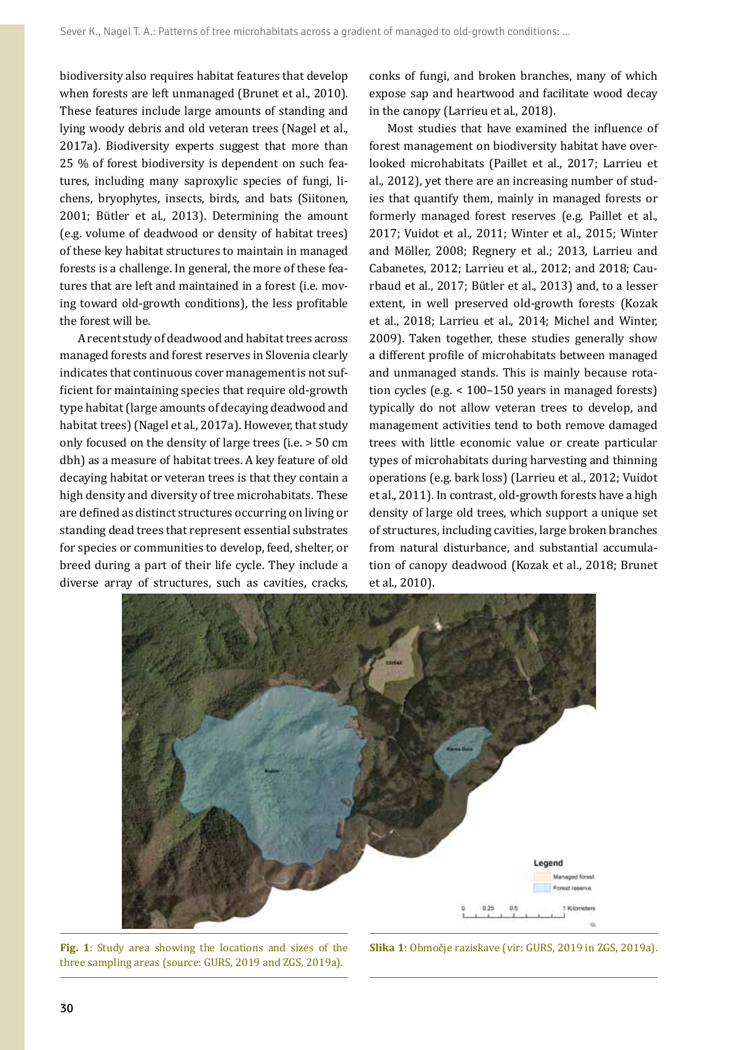biodiversity also requires habitat features that develop when forests are left unmanaged (Brunet et al., 2010). These features include large amounts of standing and lying woody debris and old veteran trees (Nagel et al., 2017a). Biodiversity experts suggest that more than 25 % of forest biodiversity is dependent on such features, including many saproxylic species of fungi, lichens, bryophytes, insects, birds, and bats (Siitonen, 2001; Bütler et al., 2013). Determining the amount (e.g. volume of deadwood or density of habitat trees) of these key habitat structures to maintain in managed forests is a challenge. In general, the more of these features that are left and maintained in a forest (i.e. moving toward old-growth conditions), the less profitable the forest will be.

A recent study of deadwood and habitat trees across managed forests and forest reserves in Slovenia clearly indicates that continuous cover management is not sufficient for maintaining species that require old-growth type habitat (large amounts of decaying deadwood and habitat trees) (Nagel et al., 2017a). However, that study only focused on the density of large trees (i.e. > 50 cm dbh) as a measure of habitat trees. A key feature of old decaying habitat or veteran trees is that they contain a high density and diversity of tree microhabitats. These are defined as distinct structures occurring on living or standing dead trees that represent essential substrates for species or communities to develop, feed, shelter, or breed during a part of their life cycle. They include a diverse array of structures, such as cavities, cracks,

conks of fungi, and broken branches, many of which expose sap and heartwood and facilitate wood decay in the canopy (Larrieu et al., 2018).

Most studies that have examined the influence of forest management on biodiversity habitat have overlooked microhabitats (Paillet et al., 2017; Larrieu et al., 2012), yet there are an increasing number of studies that quantify them, mainly in managed forests or formerly managed forest reserves (e.g. Paillet et al., 2017; Vuidot et al., 2011; Winter et al., 2015; Winter and Möller, 2008; Regnery et al.; 2013, Larrieu and Cabanetes, 2012; Larrieu et al., 2012; and 2018; Caurbaud et al., 2017; Bütler et al., 2013) and, to a lesser extent, in well preserved old-growth forests (Kozak et al., 2018; Larrieu et al., 2014; Michel and Winter, 2009). Taken together, these studies generally show a different profile of microhabitats between managed and unmanaged stands. This is mainly because rotation cycles (e.g. < 100–150 years in managed forests) typically do not allow veteran trees to develop, and management activities tend to both remove damaged trees with little economic value or create particular types of microhabitats during harvesting and thinning operations (e.g. bark loss) (Larrieu et al., 2012; Vuidot et al., 2011). In contrast, old-growth forests have a high density of large old trees, which support a unique set of structures, including cavities, large broken branches from natural disturbance, and substantial accumulation of canopy deadwood (Kozak et al., 2018; Brunet et al., 2010).



**Fig. 1**: Study area showing the locations and sizes of the three sampling areas (source: GURS, 2019 and ZGS, 2019a).

**Slika 1**: Območje raziskave (vir: GURS, 2019 in ZGS, 2019a).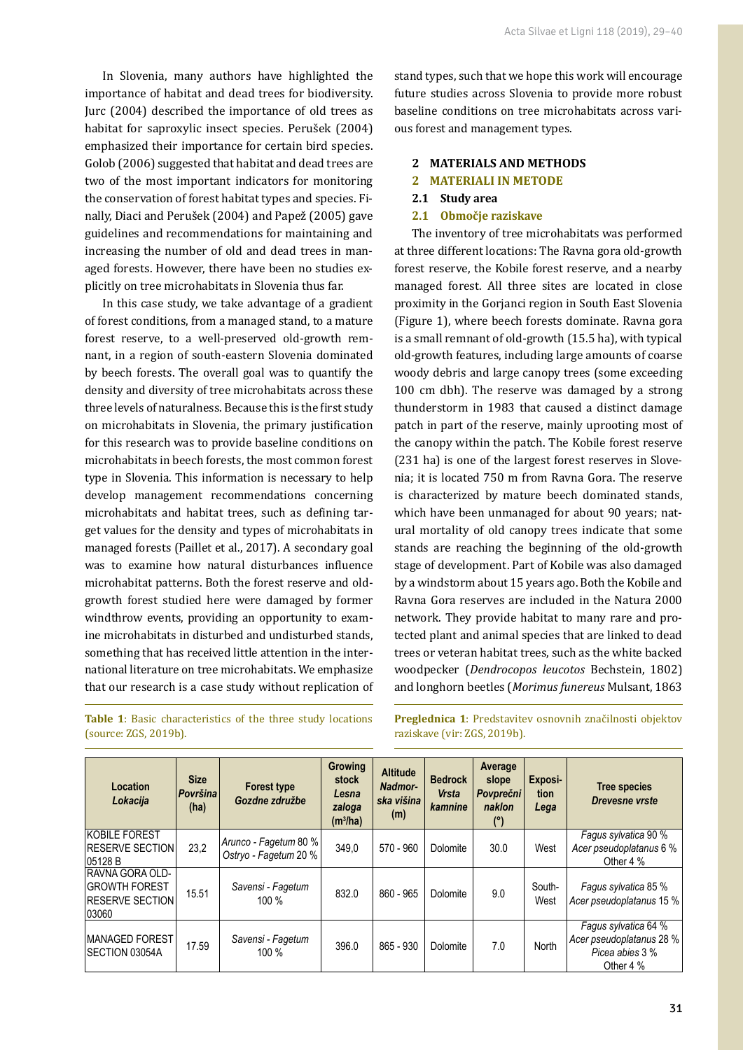In Slovenia, many authors have highlighted the importance of habitat and dead trees for biodiversity. Jurc (2004) described the importance of old trees as habitat for saproxylic insect species. Perušek (2004) emphasized their importance for certain bird species. Golob (2006) suggested that habitat and dead trees are two of the most important indicators for monitoring the conservation of forest habitat types and species. Finally, Diaci and Perušek (2004) and Papež (2005) gave guidelines and recommendations for maintaining and increasing the number of old and dead trees in managed forests. However, there have been no studies explicitly on tree microhabitats in Slovenia thus far.

In this case study, we take advantage of a gradient of forest conditions, from a managed stand, to a mature forest reserve, to a well-preserved old-growth remnant, in a region of south-eastern Slovenia dominated by beech forests. The overall goal was to quantify the density and diversity of tree microhabitats across these three levels of naturalness. Because this is the first study on microhabitats in Slovenia, the primary justification for this research was to provide baseline conditions on microhabitats in beech forests, the most common forest type in Slovenia. This information is necessary to help develop management recommendations concerning microhabitats and habitat trees, such as defining target values for the density and types of microhabitats in managed forests (Paillet et al., 2017). A secondary goal was to examine how natural disturbances influence microhabitat patterns. Both the forest reserve and oldgrowth forest studied here were damaged by former windthrow events, providing an opportunity to examine microhabitats in disturbed and undisturbed stands, something that has received little attention in the international literature on tree microhabitats. We emphasize that our research is a case study without replication of stand types, such that we hope this work will encourage future studies across Slovenia to provide more robust baseline conditions on tree microhabitats across various forest and management types.

## **2 MATERIALS AND METHODS**

#### **2 MATERIALI IN METODE**

- **2.1 Study area**
- **2.1 Območje raziskave**

The inventory of tree microhabitats was performed at three different locations: The Ravna gora old-growth forest reserve, the Kobile forest reserve, and a nearby managed forest. All three sites are located in close proximity in the Gorjanci region in South East Slovenia (Figure 1), where beech forests dominate. Ravna gora is a small remnant of old-growth (15.5 ha), with typical old-growth features, including large amounts of coarse woody debris and large canopy trees (some exceeding 100 cm dbh). The reserve was damaged by a strong thunderstorm in 1983 that caused a distinct damage patch in part of the reserve, mainly uprooting most of the canopy within the patch. The Kobile forest reserve (231 ha) is one of the largest forest reserves in Slovenia; it is located 750 m from Ravna Gora. The reserve is characterized by mature beech dominated stands, which have been unmanaged for about 90 years; natural mortality of old canopy trees indicate that some stands are reaching the beginning of the old-growth stage of development. Part of Kobile was also damaged by a windstorm about 15 years ago. Both the Kobile and Ravna Gora reserves are included in the Natura 2000 network. They provide habitat to many rare and protected plant and animal species that are linked to dead trees or veteran habitat trees, such as the white backed woodpecker (*Dendrocopos leucotos* Bechstein, 1802) and longhorn beetles (*Morimus funereus* Mulsant, 1863

**Table 1**: Basic characteristics of the three study locations (source: ZGS, 2019b).

**Preglednica 1**: Predstavitev osnovnih značilnosti objektov raziskave (vir: ZGS, 2019b).

| <b>Location</b><br>Lokacija                                                         | <b>Size</b><br>Površina<br>(ha) | <b>Forest type</b><br>Gozdne združbe           | <b>Growing</b><br>stock<br>Lesna<br>zaloga<br>(m <sup>3</sup> /ha) | <b>Altitude</b><br>Nadmor-<br>ska višina<br>(m) | <b>Bedrock</b><br><b>Vrsta</b><br>kamnine | Average<br>slope<br><b>Povprečni</b><br>naklon<br>(°) | Exposi-<br>tion<br>Lega | Tree species<br><b>Drevesne vrste</b>                                            |
|-------------------------------------------------------------------------------------|---------------------------------|------------------------------------------------|--------------------------------------------------------------------|-------------------------------------------------|-------------------------------------------|-------------------------------------------------------|-------------------------|----------------------------------------------------------------------------------|
| <b>KOBILE FOREST</b><br><b>RESERVE SECTION</b><br>05128 B                           | 23,2                            | Arunco - Fagetum 80 %<br>Ostryo - Fagetum 20 % | 349,0                                                              | 570 - 960                                       | Dolomite                                  | 30.0                                                  | West                    | Fagus sylvatica 90 %<br>Acer pseudoplatanus 6 %<br>Other 4 %                     |
| <b>RAVNA GORA OLD-</b><br><b>GROWTH FOREST</b><br><b>IRESERVE SECTION</b><br>103060 | 15.51                           | Savensi - Fagetum<br>100 %                     | 832.0                                                              | 860 - 965                                       | Dolomite                                  | 9.0                                                   | South-<br>West          | Fagus sylvatica 85 %<br>Acer pseudoplatanus 15 %                                 |
| <b>IMANAGED FOREST</b><br><b>SECTION 03054A</b>                                     | 17.59                           | Savensi - Fagetum<br>100 %                     | 396.0                                                              | 865 - 930                                       | Dolomite                                  | 7.0                                                   | North                   | Fagus sylvatica 64 %<br>Acer pseudoplatanus 28 %<br>Picea abies 3 %<br>Other 4 % |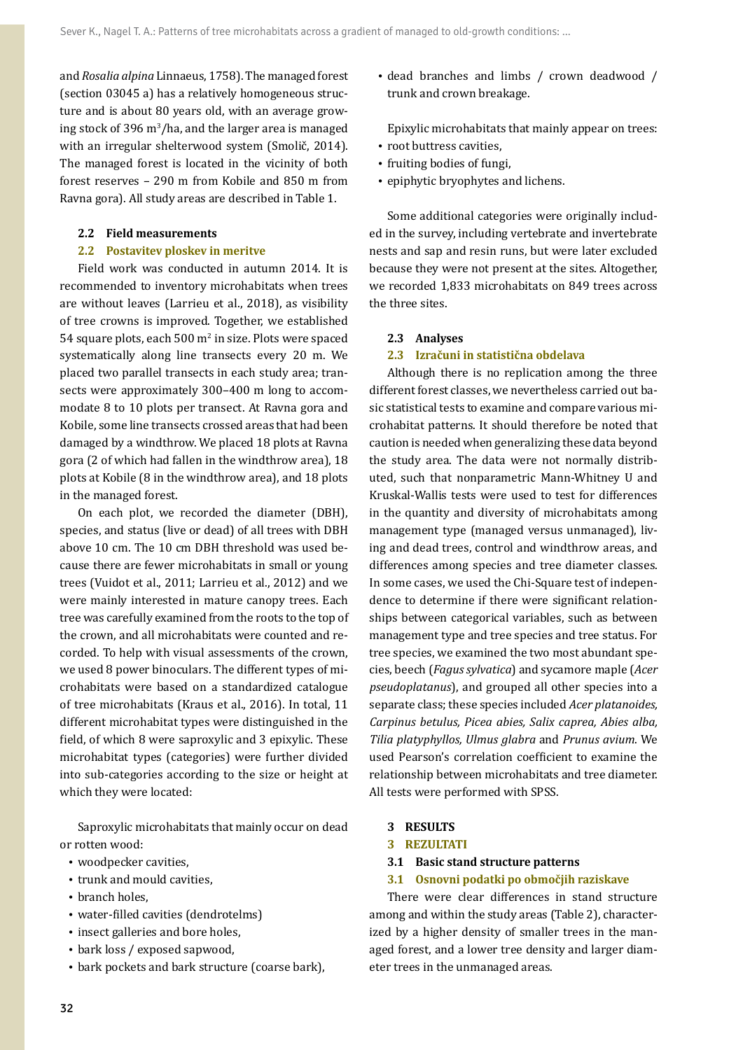and *Rosalia alpina* Linnaeus, 1758). The managed forest (section 03045 a) has a relatively homogeneous structure and is about 80 years old, with an average grow- $\log$  stock of 396 m<sup>3</sup>/ha, and the larger area is managed with an irregular shelterwood system (Smolič, 2014). The managed forest is located in the vicinity of both forest reserves – 290 m from Kobile and 850 m from Ravna gora). All study areas are described in Table 1.

#### **2.2 Field measurements**

#### **2.2 Postavitev ploskev in meritve**

Field work was conducted in autumn 2014. It is recommended to inventory microhabitats when trees are without leaves (Larrieu et al., 2018), as visibility of tree crowns is improved. Together, we established 54 square plots, each  $500 \,\mathrm{m}^2$  in size. Plots were spaced systematically along line transects every 20 m. We placed two parallel transects in each study area; transects were approximately 300–400 m long to accommodate 8 to 10 plots per transect. At Ravna gora and Kobile, some line transects crossed areas that had been damaged by a windthrow. We placed 18 plots at Ravna gora (2 of which had fallen in the windthrow area), 18 plots at Kobile (8 in the windthrow area), and 18 plots in the managed forest.

On each plot, we recorded the diameter (DBH), species, and status (live or dead) of all trees with DBH above 10 cm. The 10 cm DBH threshold was used because there are fewer microhabitats in small or young trees (Vuidot et al., 2011; Larrieu et al., 2012) and we were mainly interested in mature canopy trees. Each tree was carefully examined from the roots to the top of the crown, and all microhabitats were counted and recorded. To help with visual assessments of the crown, we used 8 power binoculars. The different types of microhabitats were based on a standardized catalogue of tree microhabitats (Kraus et al., 2016). In total, 11 different microhabitat types were distinguished in the field, of which 8 were saproxylic and 3 epixylic. These microhabitat types (categories) were further divided into sub-categories according to the size or height at which they were located:

Saproxylic microhabitats that mainly occur on dead or rotten wood:

- woodpecker cavities.
- trunk and mould cavities,
- branch holes.
- water-filled cavities (dendrotelms)
- insect galleries and bore holes,
- bark loss / exposed sapwood,
- bark pockets and bark structure (coarse bark),

• dead branches and limbs / crown deadwood / trunk and crown breakage.

Epixylic microhabitats that mainly appear on trees: • root buttress cavities.

- fruiting bodies of fungi,
- epiphytic bryophytes and lichens.

Some additional categories were originally included in the survey, including vertebrate and invertebrate nests and sap and resin runs, but were later excluded because they were not present at the sites. Altogether, we recorded 1,833 microhabitats on 849 trees across the three sites.

#### **2.3 Analyses**

#### **2.3 Izračuni in statistična obdelava**

Although there is no replication among the three different forest classes, we nevertheless carried out basic statistical tests to examine and compare various microhabitat patterns. It should therefore be noted that caution is needed when generalizing these data beyond the study area. The data were not normally distributed, such that nonparametric Mann-Whitney U and Kruskal-Wallis tests were used to test for differences in the quantity and diversity of microhabitats among management type (managed versus unmanaged), living and dead trees, control and windthrow areas, and differences among species and tree diameter classes. In some cases, we used the Chi-Square test of independence to determine if there were significant relationships between categorical variables, such as between management type and tree species and tree status. For tree species, we examined the two most abundant species, beech (*Fagus sylvatica*) and sycamore maple (*Acer pseudoplatanus*), and grouped all other species into a separate class; these species included *Acer platanoides, Carpinus betulus, Picea abies, Salix caprea, Abies alba, Tilia platyphyllos, Ulmus glabra* and *Prunus avium*. We used Pearson's correlation coefficient to examine the relationship between microhabitats and tree diameter. All tests were performed with SPSS.

### **3 RESULTS**

- **3 REZULTATI**
- **3.1 Basic stand structure patterns**
- **3.1 Osnovni podatki po območjih raziskave**

There were clear differences in stand structure among and within the study areas (Table 2), characterized by a higher density of smaller trees in the managed forest, and a lower tree density and larger diameter trees in the unmanaged areas.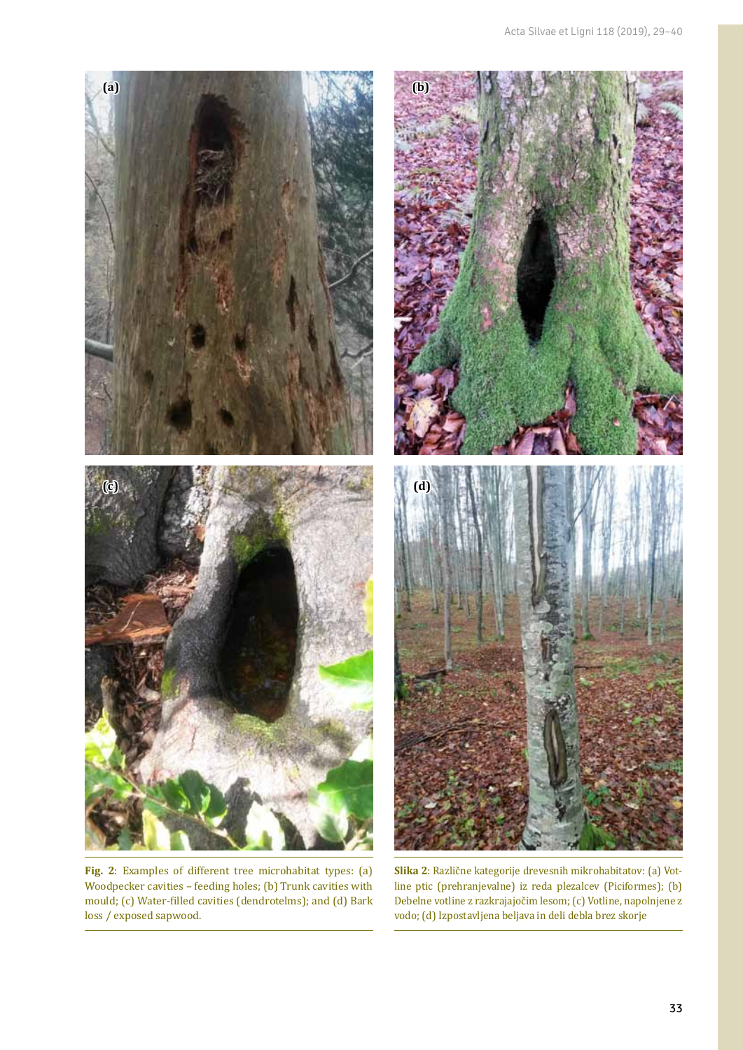

**Fig. 2**: Examples of different tree microhabitat types: (a) Woodpecker cavities – feeding holes; (b) Trunk cavities with mould; (c) Water-filled cavities (dendrotelms); and (d) Bark loss / exposed sapwood.

**Slika 2**: Različne kategorije drevesnih mikrohabitatov: (a) Votline ptic (prehranjevalne) iz reda plezalcev (Piciformes); (b) Debelne votline z razkrajajočim lesom; (c) Votline, napolnjene z vodo; (d) Izpostavljena beljava in deli debla brez skorje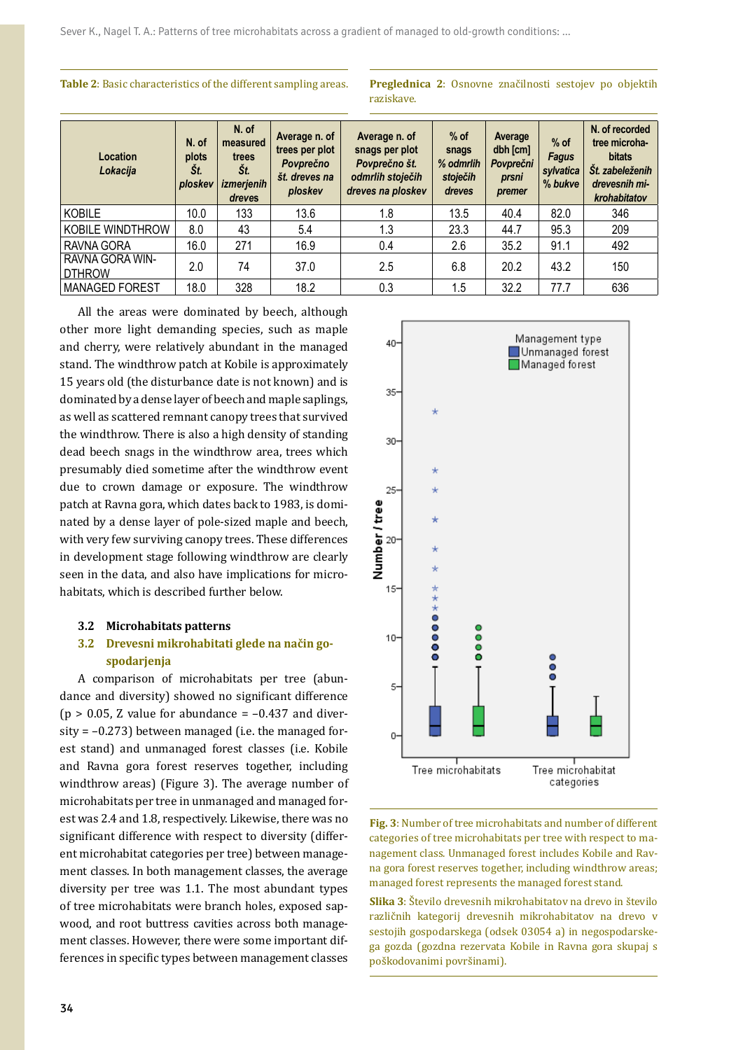**Table 2**: Basic characteristics of the different sampling areas. **Preglednica 2**: Osnovne značilnosti sestojev po objektih

raziskave.

| Location<br>Lokacija             | N. of<br>plots<br>St.<br>ploskev | N. of<br>measured<br>trees<br>St.<br>izmerjenih<br>dreves | Average n. of<br>trees per plot<br>Povprečno<br>št. dreves na<br>ploskev | Average n. of<br>snags per plot<br>Povprečno št.<br>odmrlih stoječih<br>dreves na ploskev | $%$ of<br>snags<br>% odmrlih<br>stoječih<br>dreves | Average<br>dbh [cm]<br>Povprečni<br>prsni<br>premer | $%$ of<br><b>Fagus</b><br>sylvatica<br>% bukve | N. of recorded<br>tree microha-<br><b>bitats</b><br>Št. zabeleženih<br>drevesnih mi-<br>krohabitatov |
|----------------------------------|----------------------------------|-----------------------------------------------------------|--------------------------------------------------------------------------|-------------------------------------------------------------------------------------------|----------------------------------------------------|-----------------------------------------------------|------------------------------------------------|------------------------------------------------------------------------------------------------------|
| KOBILE                           | 10.0                             | 133                                                       | 13.6                                                                     | 1.8                                                                                       | 13.5                                               | 40.4                                                | 82.0                                           | 346                                                                                                  |
| KOBILE WINDTHROW                 | 8.0                              | 43                                                        | 5.4                                                                      | 1.3                                                                                       | 23.3                                               | 44.7                                                | 95.3                                           | 209                                                                                                  |
| RAVNA GORA                       | 16.0                             | 271                                                       | 16.9                                                                     | 0.4                                                                                       | 2.6                                                | 35.2                                                | 91.1                                           | 492                                                                                                  |
| RAVNA GORA WIN-<br><b>DTHROW</b> | 2.0                              | 74                                                        | 37.0                                                                     | 2.5                                                                                       | 6.8                                                | 20.2                                                | 43.2                                           | 150                                                                                                  |
| <b>MANAGED FOREST</b>            | 18.0                             | 328                                                       | 18.2                                                                     | 0.3                                                                                       | 1.5                                                | 32.2                                                | 77.7                                           | 636                                                                                                  |

All the areas were dominated by beech, although other more light demanding species, such as maple and cherry, were relatively abundant in the managed stand. The windthrow patch at Kobile is approximately 15 years old (the disturbance date is not known) and is dominated by a dense layer of beech and maple saplings, as well as scattered remnant canopy trees that survived the windthrow. There is also a high density of standing dead beech snags in the windthrow area, trees which presumably died sometime after the windthrow event due to crown damage or exposure. The windthrow patch at Ravna gora, which dates back to 1983, is dominated by a dense layer of pole-sized maple and beech, with very few surviving canopy trees. These differences in development stage following windthrow are clearly seen in the data, and also have implications for microhabitats, which is described further below.

#### **3.2 Microhabitats patterns**

## **3.2 Drevesni mikrohabitati glede na način gospodarjenja**

A comparison of microhabitats per tree (abundance and diversity) showed no significant difference ( $p > 0.05$ , Z value for abundance =  $-0.437$  and diversity  $= -0.273$ ) between managed (i.e. the managed forest stand) and unmanaged forest classes (i.e. Kobile and Ravna gora forest reserves together, including windthrow areas) (Figure 3). The average number of microhabitats per tree in unmanaged and managed forest was 2.4 and 1.8, respectively. Likewise, there was no significant difference with respect to diversity (different microhabitat categories per tree) between management classes. In both management classes, the average diversity per tree was 1.1. The most abundant types of tree microhabitats were branch holes, exposed sapwood, and root buttress cavities across both management classes. However, there were some important differences in specific types between management classes



**Fig. 3**: Number of tree microhabitats and number of different categories of tree microhabitats per tree with respect to management class. Unmanaged forest includes Kobile and Ravna gora forest reserves together, including windthrow areas; managed forest represents the managed forest stand.

**Slika 3**: Število drevesnih mikrohabitatov na drevo in število različnih kategorij drevesnih mikrohabitatov na drevo v sestojih gospodarskega (odsek 03054 a) in negospodarskega gozda (gozdna rezervata Kobile in Ravna gora skupaj s poškodovanimi površinami).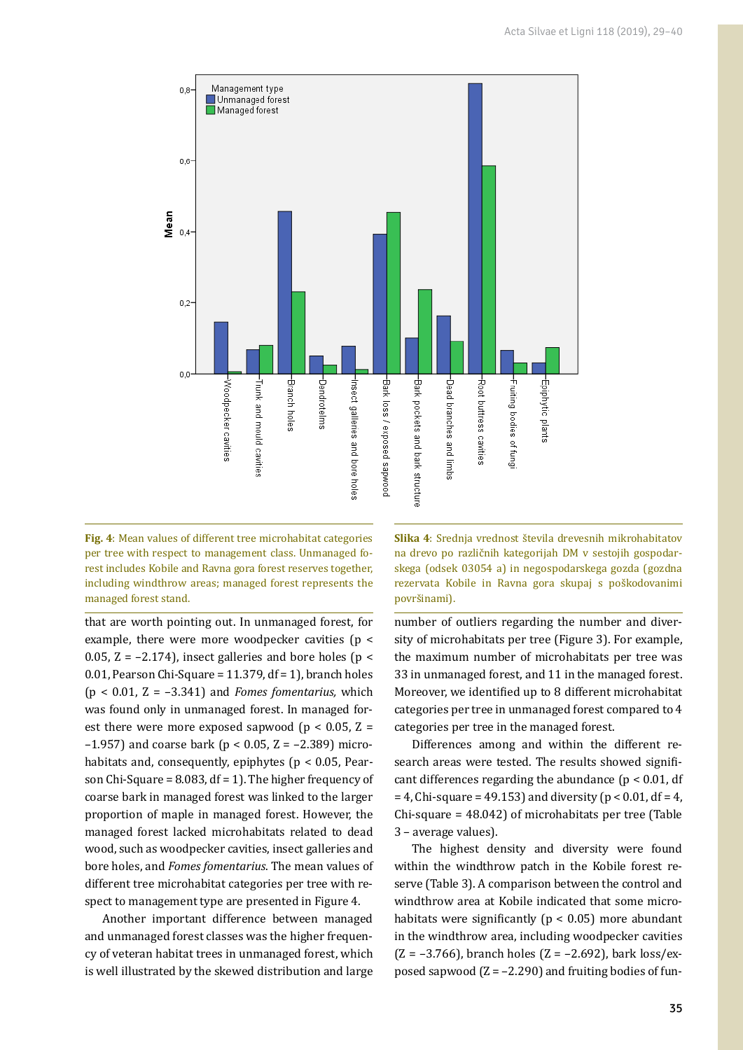

**Fig. 4**: Mean values of different tree microhabitat categories per tree with respect to management class. Unmanaged forest includes Kobile and Ravna gora forest reserves together, including windthrow areas; managed forest represents the managed forest stand.

that are worth pointing out. In unmanaged forest, for example, there were more woodpecker cavities (p < 0.05,  $Z = -2.174$ ), insect galleries and bore holes ( $p <$ 0.01, Pearson Chi-Square = 11.379, df = 1), branch holes (p < 0.01, Z = –3.341) and *Fomes fomentarius,* which was found only in unmanaged forest. In managed forest there were more exposed sapwood ( $p < 0.05$ ,  $Z =$ –1.957) and coarse bark (p < 0.05, Z = –2.389) microhabitats and, consequently, epiphytes ( $p < 0.05$ , Pearson Chi-Square =  $8.083$ , df = 1). The higher frequency of coarse bark in managed forest was linked to the larger proportion of maple in managed forest. However, the managed forest lacked microhabitats related to dead wood, such as woodpecker cavities, insect galleries and bore holes, and *Fomes fomentarius*. The mean values of different tree microhabitat categories per tree with respect to management type are presented in Figure 4.

Another important difference between managed and unmanaged forest classes was the higher frequency of veteran habitat trees in unmanaged forest, which is well illustrated by the skewed distribution and large **Slika 4**: Srednja vrednost števila drevesnih mikrohabitatov na drevo po različnih kategorijah DM v sestojih gospodarskega (odsek 03054 a) in negospodarskega gozda (gozdna rezervata Kobile in Ravna gora skupaj s poškodovanimi površinami).

number of outliers regarding the number and diversity of microhabitats per tree (Figure 3). For example, the maximum number of microhabitats per tree was 33 in unmanaged forest, and 11 in the managed forest. Moreover, we identified up to 8 different microhabitat categories per tree in unmanaged forest compared to 4 categories per tree in the managed forest.

Differences among and within the different research areas were tested. The results showed significant differences regarding the abundance ( $p < 0.01$ , df  $= 4$ , Chi-square = 49.153) and diversity ( $p < 0.01$ , df = 4, Chi-square = 48.042) of microhabitats per tree (Table 3 – average values).

The highest density and diversity were found within the windthrow patch in the Kobile forest reserve (Table 3). A comparison between the control and windthrow area at Kobile indicated that some microhabitats were significantly ( $p < 0.05$ ) more abundant in the windthrow area, including woodpecker cavities  $(Z = -3.766)$ , branch holes  $(Z = -2.692)$ , bark loss/exposed sapwood  $(Z = -2.290)$  and fruiting bodies of fun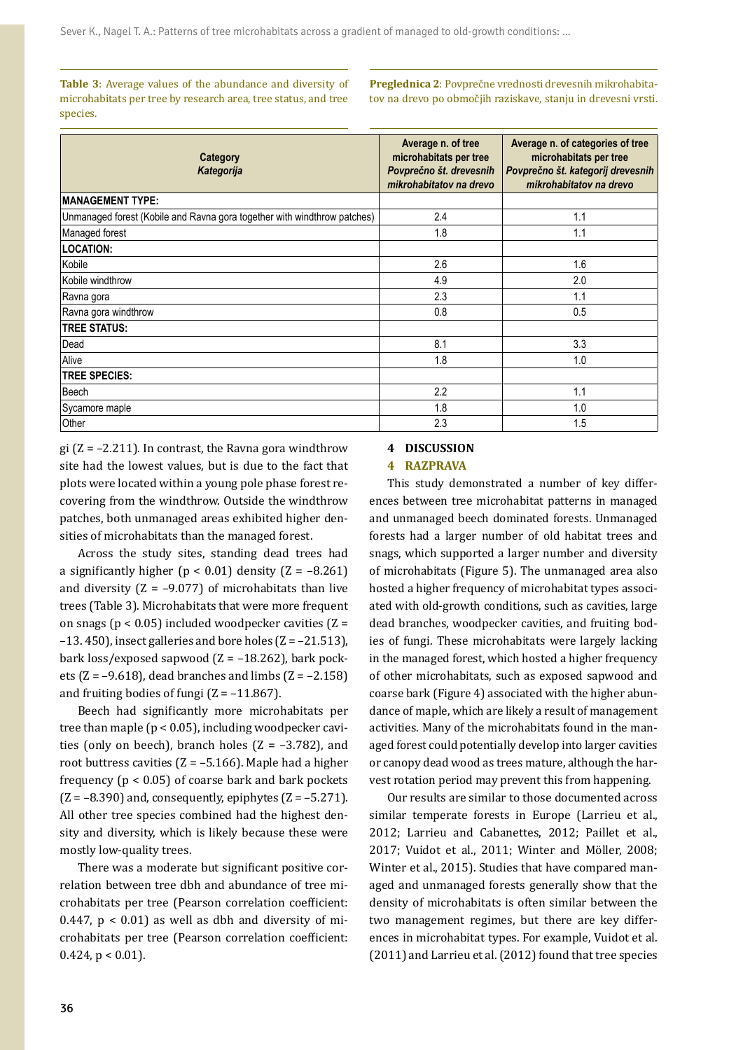**Table 3**: Average values of the abundance and diversity of microhabitats per tree by research area, tree status, and tree species.

**Preglednica 2**: Povprečne vrednosti drevesnih mikrohabitatov na drevo po območjih raziskave, stanju in drevesni vrsti.

| Category<br>Kategorija                                                   | Average n. of tree<br>microhabitats per tree<br>Povprečno št. drevesnih<br>mikrohabitatov na drevo | Average n. of categories of tree<br>microhabitats per tree<br>Povprečno št. kategorij drevesnih<br>mikrohabitatov na drevo |  |  |
|--------------------------------------------------------------------------|----------------------------------------------------------------------------------------------------|----------------------------------------------------------------------------------------------------------------------------|--|--|
| <b>MANAGEMENT TYPE:</b>                                                  |                                                                                                    |                                                                                                                            |  |  |
| Unmanaged forest (Kobile and Ravna gora together with windthrow patches) | 2.4                                                                                                | 1.1                                                                                                                        |  |  |
| Managed forest                                                           | 1.8                                                                                                | 1.1                                                                                                                        |  |  |
| <b>LOCATION:</b>                                                         |                                                                                                    |                                                                                                                            |  |  |
| Kobile                                                                   | 2.6                                                                                                | 1.6                                                                                                                        |  |  |
| Kobile windthrow                                                         | 4.9                                                                                                | 2.0                                                                                                                        |  |  |
| Ravna gora                                                               | 2.3                                                                                                | 1.1                                                                                                                        |  |  |
| Ravna gora windthrow                                                     | 0.8                                                                                                | 0.5                                                                                                                        |  |  |
| <b>TREE STATUS:</b>                                                      |                                                                                                    |                                                                                                                            |  |  |
| Dead                                                                     | 8.1                                                                                                | 3.3                                                                                                                        |  |  |
| Alive                                                                    | 1.8                                                                                                | 1.0                                                                                                                        |  |  |
| <b>TREE SPECIES:</b>                                                     |                                                                                                    |                                                                                                                            |  |  |
| Beech                                                                    | 2.2                                                                                                | 1.1                                                                                                                        |  |  |
| Sycamore maple                                                           | 1.8                                                                                                | 1.0                                                                                                                        |  |  |
| Other                                                                    | 2.3                                                                                                | 1.5                                                                                                                        |  |  |

gi ( $Z = -2.211$ ). In contrast, the Ravna gora windthrow site had the lowest values, but is due to the fact that plots were located within a young pole phase forest recovering from the windthrow. Outside the windthrow patches, both unmanaged areas exhibited higher densities of microhabitats than the managed forest.

Across the study sites, standing dead trees had a significantly higher ( $p < 0.01$ ) density ( $Z = -8.261$ ) and diversity  $(Z = -9.077)$  of microhabitats than live trees (Table 3). Microhabitats that were more frequent on snags ( $p < 0.05$ ) included woodpecker cavities ( $Z =$ –13. 450), insect galleries and bore holes (Z = –21.513), bark loss/exposed sapwood  $(Z = -18.262)$ , bark pockets ( $Z = -9.618$ ), dead branches and limbs ( $Z = -2.158$ ) and fruiting bodies of fungi  $(Z = -11.867)$ .

Beech had significantly more microhabitats per tree than maple ( $p < 0.05$ ), including woodpecker cavities (only on beech), branch holes  $(Z = -3.782)$ , and root buttress cavities  $(Z = -5.166)$ . Maple had a higher frequency ( $p < 0.05$ ) of coarse bark and bark pockets  $(Z = -8.390)$  and, consequently, epiphytes  $(Z = -5.271)$ . All other tree species combined had the highest density and diversity, which is likely because these were mostly low-quality trees.

There was a moderate but significant positive correlation between tree dbh and abundance of tree microhabitats per tree (Pearson correlation coefficient: 0.447,  $p < 0.01$ ) as well as dbh and diversity of microhabitats per tree (Pearson correlation coefficient:  $0.424$ ,  $p < 0.01$ ).

## **4 DISCUSSION**

#### **4 RAZPRAVA**

This study demonstrated a number of key differences between tree microhabitat patterns in managed and unmanaged beech dominated forests. Unmanaged forests had a larger number of old habitat trees and snags, which supported a larger number and diversity of microhabitats (Figure 5). The unmanaged area also hosted a higher frequency of microhabitat types associated with old-growth conditions, such as cavities, large dead branches, woodpecker cavities, and fruiting bodies of fungi. These microhabitats were largely lacking in the managed forest, which hosted a higher frequency of other microhabitats, such as exposed sapwood and coarse bark (Figure 4) associated with the higher abundance of maple, which are likely a result of management activities. Many of the microhabitats found in the managed forest could potentially develop into larger cavities or canopy dead wood as trees mature, although the harvest rotation period may prevent this from happening.

Our results are similar to those documented across similar temperate forests in Europe (Larrieu et al., 2012; Larrieu and Cabanettes, 2012; Paillet et al., 2017; Vuidot et al., 2011; Winter and Möller, 2008; Winter et al., 2015). Studies that have compared managed and unmanaged forests generally show that the density of microhabitats is often similar between the two management regimes, but there are key differences in microhabitat types. For example, Vuidot et al. (2011) and Larrieu et al. (2012) found that tree species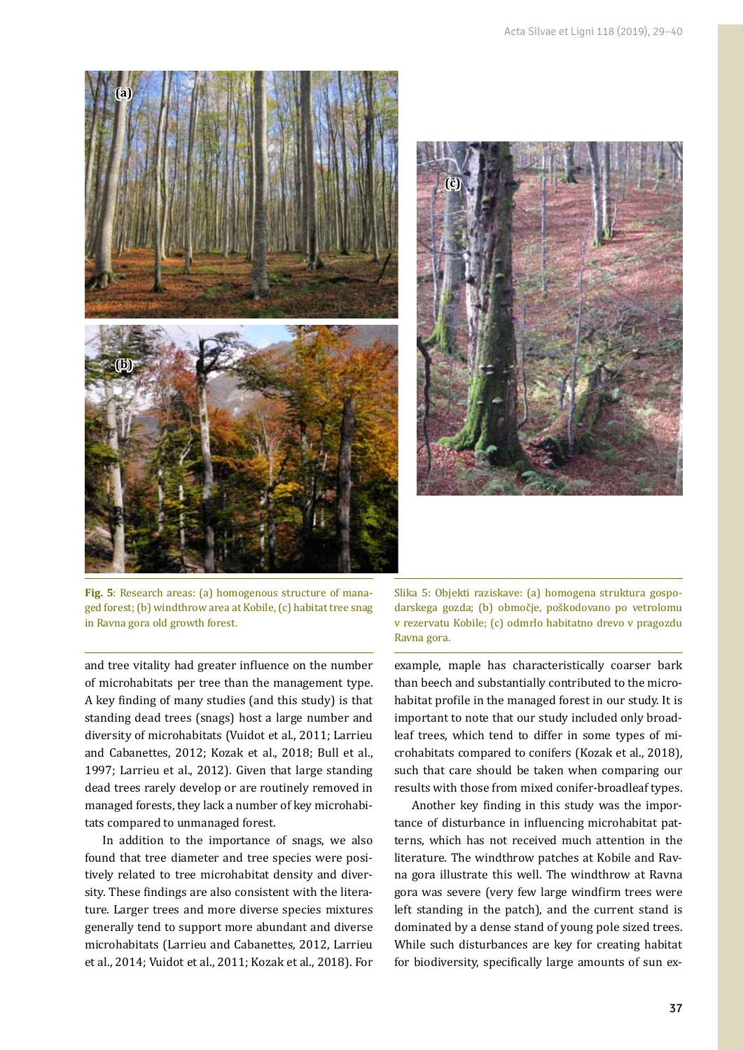



**Fig. 5**: Research areas: (a) homogenous structure of managed forest; (b) windthrow area at Kobile, (c) habitat tree snag in Ravna gora old growth forest.

and tree vitality had greater influence on the number of microhabitats per tree than the management type. A key finding of many studies (and this study) is that standing dead trees (snags) host a large number and diversity of microhabitats (Vuidot et al., 2011; Larrieu and Cabanettes, 2012; Kozak et al., 2018; Bull et al., 1997; Larrieu et al., 2012). Given that large standing dead trees rarely develop or are routinely removed in managed forests, they lack a number of key microhabitats compared to unmanaged forest.

In addition to the importance of snags, we also found that tree diameter and tree species were positively related to tree microhabitat density and diversity. These findings are also consistent with the literature. Larger trees and more diverse species mixtures generally tend to support more abundant and diverse microhabitats (Larrieu and Cabanettes, 2012, Larrieu et al., 2014; Vuidot et al., 2011; Kozak et al., 2018). For Slika 5: Objekti raziskave: (a) homogena struktura gospodarskega gozda; (b) območje, poškodovano po vetrolomu v rezervatu Kobile; (c) odmrlo habitatno drevo v pragozdu Ravna gora.

example, maple has characteristically coarser bark than beech and substantially contributed to the microhabitat profile in the managed forest in our study. It is important to note that our study included only broadleaf trees, which tend to differ in some types of microhabitats compared to conifers (Kozak et al., 2018), such that care should be taken when comparing our results with those from mixed conifer-broadleaf types.

Another key finding in this study was the importance of disturbance in influencing microhabitat patterns, which has not received much attention in the literature. The windthrow patches at Kobile and Ravna gora illustrate this well. The windthrow at Ravna gora was severe (very few large windfirm trees were left standing in the patch), and the current stand is dominated by a dense stand of young pole sized trees. While such disturbances are key for creating habitat for biodiversity, specifically large amounts of sun ex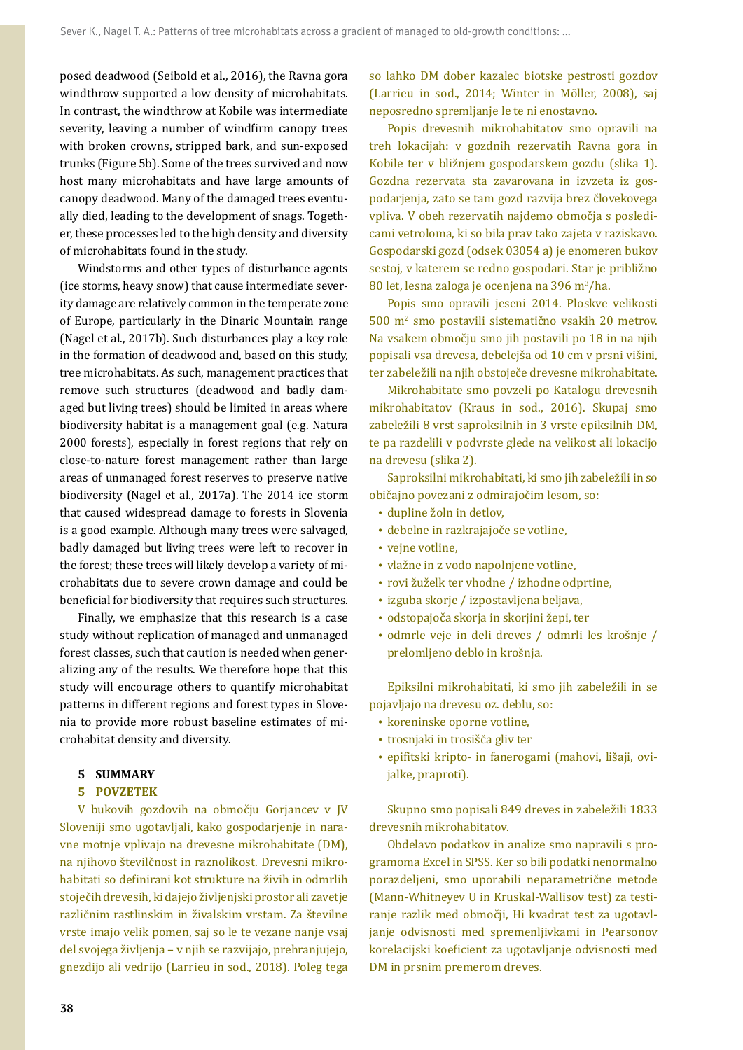posed deadwood (Seibold et al., 2016), the Ravna gora windthrow supported a low density of microhabitats. In contrast, the windthrow at Kobile was intermediate severity, leaving a number of windfirm canopy trees with broken crowns, stripped bark, and sun-exposed trunks (Figure 5b). Some of the trees survived and now host many microhabitats and have large amounts of canopy deadwood. Many of the damaged trees eventually died, leading to the development of snags. Together, these processes led to the high density and diversity of microhabitats found in the study.

Windstorms and other types of disturbance agents (ice storms, heavy snow) that cause intermediate severity damage are relatively common in the temperate zone of Europe, particularly in the Dinaric Mountain range (Nagel et al., 2017b). Such disturbances play a key role in the formation of deadwood and, based on this study, tree microhabitats. As such, management practices that remove such structures (deadwood and badly damaged but living trees) should be limited in areas where biodiversity habitat is a management goal (e.g. Natura 2000 forests), especially in forest regions that rely on close-to-nature forest management rather than large areas of unmanaged forest reserves to preserve native biodiversity (Nagel et al., 2017a). The 2014 ice storm that caused widespread damage to forests in Slovenia is a good example. Although many trees were salvaged, badly damaged but living trees were left to recover in the forest; these trees will likely develop a variety of microhabitats due to severe crown damage and could be beneficial for biodiversity that requires such structures.

Finally, we emphasize that this research is a case study without replication of managed and unmanaged forest classes, such that caution is needed when generalizing any of the results. We therefore hope that this study will encourage others to quantify microhabitat patterns in different regions and forest types in Slovenia to provide more robust baseline estimates of microhabitat density and diversity.

#### **5 SUMMARY**

#### **5 POVZETEK**

V bukovih gozdovih na območju Gorjancev v JV Sloveniji smo ugotavljali, kako gospodarjenje in naravne motnje vplivajo na drevesne mikrohabitate (DM), na njihovo številčnost in raznolikost. Drevesni mikrohabitati so definirani kot strukture na živih in odmrlih stoječih drevesih, ki dajejo življenjski prostor ali zavetje različnim rastlinskim in živalskim vrstam. Za številne vrste imajo velik pomen, saj so le te vezane nanje vsaj del svojega življenja – v njih se razvijajo, prehranjujejo, gnezdijo ali vedrijo (Larrieu in sod., 2018). Poleg tega

so lahko DM dober kazalec biotske pestrosti gozdov (Larrieu in sod., 2014; Winter in Möller, 2008), saj neposredno spremljanje le te ni enostavno.

Popis drevesnih mikrohabitatov smo opravili na treh lokacijah: v gozdnih rezervatih Ravna gora in Kobile ter v bližnjem gospodarskem gozdu (slika 1). Gozdna rezervata sta zavarovana in izvzeta iz gospodarjenja, zato se tam gozd razvija brez človekovega vpliva. V obeh rezervatih najdemo območja s posledicami vetroloma, ki so bila prav tako zajeta v raziskavo. Gospodarski gozd (odsek 03054 a) je enomeren bukov sestoj, v katerem se redno gospodari. Star je približno 80 let, lesna zaloga je ocenjena na 396 m<sup>3</sup>/ha.

Popis smo opravili jeseni 2014. Ploskve velikosti 500 m2 smo postavili sistematično vsakih 20 metrov. Na vsakem območju smo jih postavili po 18 in na njih popisali vsa drevesa, debelejša od 10 cm v prsni višini, ter zabeležili na njih obstoječe drevesne mikrohabitate.

Mikrohabitate smo povzeli po Katalogu drevesnih mikrohabitatov (Kraus in sod., 2016). Skupaj smo zabeležili 8 vrst saproksilnih in 3 vrste epiksilnih DM, te pa razdelili v podvrste glede na velikost ali lokacijo na drevesu (slika 2).

Saproksilni mikrohabitati, ki smo jih zabeležili in so običajno povezani z odmirajočim lesom, so:

- • dupline žoln in detlov,
- • debelne in razkrajajoče se votline,
- vejne votline,
- • vlažne in z vodo napolnjene votline,
- • rovi žuželk ter vhodne / izhodne odprtine,
- • izguba skorje / izpostavljena beljava,
- • odstopajoča skorja in skorjini žepi, ter
- • odmrle veje in deli dreves / odmrli les krošnje / prelomljeno deblo in krošnja.

Epiksilni mikrohabitati, ki smo jih zabeležili in se pojavljajo na drevesu oz. deblu, so:

- • koreninske oporne votline,
- • trosnjaki in trosišča gliv ter
- • epifitski kripto- in fanerogami (mahovi, lišaji, ovijalke, praproti).

Skupno smo popisali 849 dreves in zabeležili 1833 drevesnih mikrohabitatov.

Obdelavo podatkov in analize smo napravili s programoma Excel in SPSS. Ker so bili podatki nenormalno porazdeljeni, smo uporabili neparametrične metode (Mann-Whitneyev U in Kruskal-Wallisov test) za testiranje razlik med območji, Hi kvadrat test za ugotavljanje odvisnosti med spremenljivkami in Pearsonov korelacijski koeficient za ugotavljanje odvisnosti med DM in prsnim premerom dreves.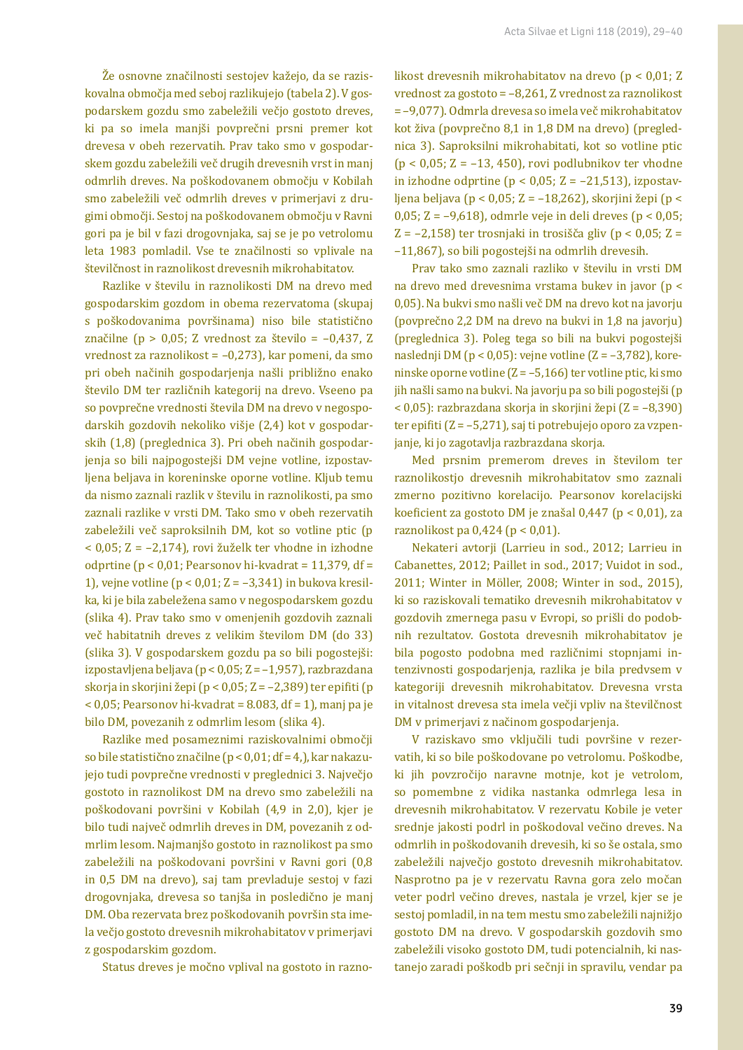Že osnovne značilnosti sestojev kažejo, da se raziskovalna območja med seboj razlikujejo (tabela 2). V gospodarskem gozdu smo zabeležili večjo gostoto dreves, ki pa so imela manjši povprečni prsni premer kot drevesa v obeh rezervatih. Prav tako smo v gospodarskem gozdu zabeležili več drugih drevesnih vrst in manj odmrlih dreves. Na poškodovanem območju v Kobilah smo zabeležili več odmrlih dreves v primerjavi z drugimi območji. Sestoj na poškodovanem območju v Ravni gori pa je bil v fazi drogovnjaka, saj se je po vetrolomu leta 1983 pomladil. Vse te značilnosti so vplivale na številčnost in raznolikost drevesnih mikrohabitatov.

Razlike v številu in raznolikosti DM na drevo med gospodarskim gozdom in obema rezervatoma (skupaj s poškodovanima površinama) niso bile statistično značilne (p > 0,05; Z vrednost za število =  $-0.437$ , Z vrednost za raznolikost = –0,273), kar pomeni, da smo pri obeh načinih gospodarjenja našli približno enako število DM ter različnih kategorij na drevo. Vseeno pa so povprečne vrednosti števila DM na drevo v negospodarskih gozdovih nekoliko višje (2,4) kot v gospodarskih (1,8) (preglednica 3). Pri obeh načinih gospodarjenja so bili najpogostejši DM vejne votline, izpostavljena beljava in koreninske oporne votline. Kljub temu da nismo zaznali razlik v številu in raznolikosti, pa smo zaznali razlike v vrsti DM. Tako smo v obeh rezervatih zabeležili več saproksilnih DM, kot so votline ptic (p < 0,05; Z = –2,174), rovi žuželk ter vhodne in izhodne odprtine ( $p < 0.01$ ; Pearsonov hi-kvadrat = 11,379, df = 1), vejne votline ( $p < 0.01$ ; Z =  $-3.341$ ) in bukova kresilka, ki je bila zabeležena samo v negospodarskem gozdu (slika 4). Prav tako smo v omenjenih gozdovih zaznali več habitatnih dreves z velikim številom DM (do 33) (slika 3). V gospodarskem gozdu pa so bili pogostejši: izpostavljena beljava (p < 0,05; Z = –1,957), razbrazdana skorja in skorjini žepi (p < 0,05; Z = –2,389) ter epifiti (p  $<$  0,05; Pearsonov hi-kvadrat = 8.083, df = 1), manj pa je bilo DM, povezanih z odmrlim lesom (slika 4).

Razlike med posameznimi raziskovalnimi območji so bile statistično značilne (p < 0,01; df = 4,), kar nakazujejo tudi povprečne vrednosti v preglednici 3. Največjo gostoto in raznolikost DM na drevo smo zabeležili na poškodovani površini v Kobilah (4,9 in 2,0), kjer je bilo tudi največ odmrlih dreves in DM, povezanih z odmrlim lesom. Najmanjšo gostoto in raznolikost pa smo zabeležili na poškodovani površini v Ravni gori (0,8 in 0,5 DM na drevo), saj tam prevladuje sestoj v fazi drogovnjaka, drevesa so tanjša in posledično je manj DM. Oba rezervata brez poškodovanih površin sta imela večjo gostoto drevesnih mikrohabitatov v primerjavi z gospodarskim gozdom.

Status dreves je močno vplival na gostoto in razno-

likost drevesnih mikrohabitatov na drevo (p < 0,01; Z vrednost za gostoto = –8,261, Z vrednost za raznolikost = –9,077). Odmrla drevesa so imela več mikrohabitatov kot živa (povprečno 8,1 in 1,8 DM na drevo) (preglednica 3). Saproksilni mikrohabitati, kot so votline ptic ( $p < 0.05$ ; Z = -13, 450), rovi podlubnikov ter vhodne in izhodne odprtine ( $p < 0.05$ ; Z = -21,513), izpostavljena beljava (p < 0,05; Z = –18,262), skorjini žepi (p < 0,05; Z = –9,618), odmrle veje in deli dreves (p < 0,05; Z =  $-2,158$ ) ter trosnjaki in trosišča gliv (p < 0,05; Z = –11,867), so bili pogostejši na odmrlih drevesih.

Prav tako smo zaznali razliko v številu in vrsti DM na drevo med drevesnima vrstama bukev in javor (p < 0,05). Na bukvi smo našli več DM na drevo kot na javorju (povprečno 2,2 DM na drevo na bukvi in 1,8 na javorju) (preglednica 3). Poleg tega so bili na bukvi pogostejši naslednji DM (p < 0,05): vejne votline (Z = –3,782), koreninske oporne votline (Z = –5,166) ter votline ptic, ki smo jih našli samo na bukvi. Na javorju pa so bili pogostejši (p < 0,05): razbrazdana skorja in skorjini žepi (Z = –8,390) ter epifiti (Z = –5,271), saj ti potrebujejo oporo za vzpenjanje, ki jo zagotavlja razbrazdana skorja.

Med prsnim premerom dreves in številom ter raznolikostjo drevesnih mikrohabitatov smo zaznali zmerno pozitivno korelacijo. Pearsonov korelacijski koeficient za gostoto DM je znašal 0,447 (p < 0,01), za raznolikost pa 0,424 (p < 0,01).

Nekateri avtorji (Larrieu in sod., 2012; Larrieu in Cabanettes, 2012; Paillet in sod., 2017; Vuidot in sod., 2011; Winter in Möller, 2008; Winter in sod., 2015), ki so raziskovali tematiko drevesnih mikrohabitatov v gozdovih zmernega pasu v Evropi, so prišli do podobnih rezultatov. Gostota drevesnih mikrohabitatov je bila pogosto podobna med različnimi stopnjami intenzivnosti gospodarjenja, razlika je bila predvsem v kategoriji drevesnih mikrohabitatov. Drevesna vrsta in vitalnost drevesa sta imela večji vpliv na številčnost DM v primerjavi z načinom gospodarjenja.

V raziskavo smo vključili tudi površine v rezervatih, ki so bile poškodovane po vetrolomu. Poškodbe, ki jih povzročijo naravne motnje, kot je vetrolom, so pomembne z vidika nastanka odmrlega lesa in drevesnih mikrohabitatov. V rezervatu Kobile je veter srednje jakosti podrl in poškodoval večino dreves. Na odmrlih in poškodovanih drevesih, ki so še ostala, smo zabeležili največjo gostoto drevesnih mikrohabitatov. Nasprotno pa je v rezervatu Ravna gora zelo močan veter podrl večino dreves, nastala je vrzel, kjer se je sestoj pomladil, in na tem mestu smo zabeležili najnižjo gostoto DM na drevo. V gospodarskih gozdovih smo zabeležili visoko gostoto DM, tudi potencialnih, ki nastanejo zaradi poškodb pri sečnji in spravilu, vendar pa